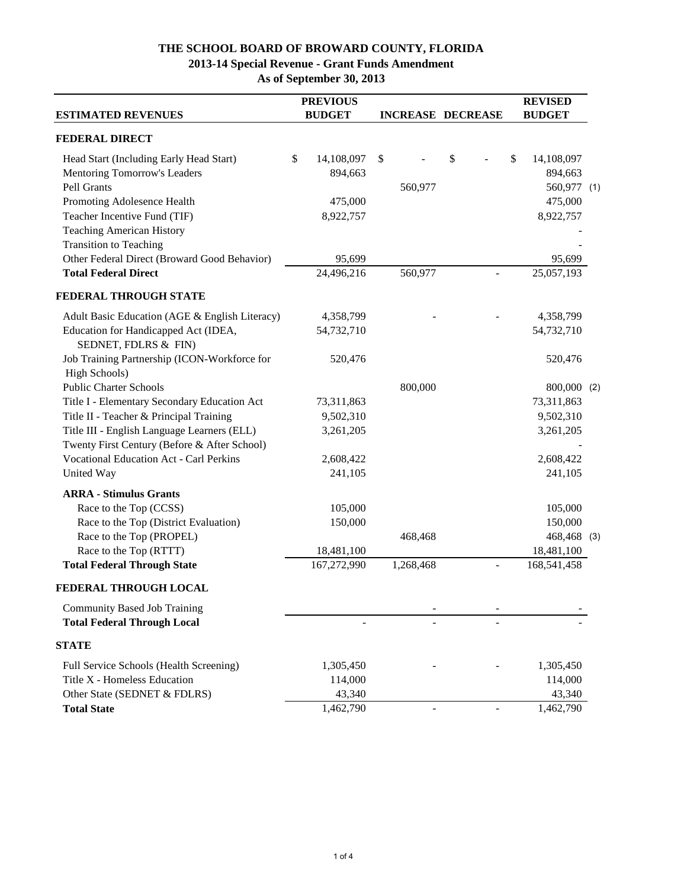### **THE SCHOOL BOARD OF BROWARD COUNTY, FLORIDA**

# **2013-14 Special Revenue - Grant Funds Amendment**

**As of September 30, 2013**

| <b>ESTIMATED REVENUES</b>                                                                                                              | <b>PREVIOUS</b><br><b>BUDGET</b> | <b>INCREASE DECREASE</b> |         |    | <b>REVISED</b><br><b>BUDGET</b>            |  |
|----------------------------------------------------------------------------------------------------------------------------------------|----------------------------------|--------------------------|---------|----|--------------------------------------------|--|
| <b>FEDERAL DIRECT</b>                                                                                                                  |                                  |                          |         |    |                                            |  |
| Head Start (Including Early Head Start)<br><b>Mentoring Tomorrow's Leaders</b><br>Pell Grants                                          | \$<br>14,108,097<br>894,663      | \$                       | 560,977 | \$ | \$<br>14,108,097<br>894,663<br>560,977 (1) |  |
| Promoting Adolesence Health<br>Teacher Incentive Fund (TIF)<br><b>Teaching American History</b><br><b>Transition to Teaching</b>       | 475,000<br>8,922,757             |                          |         |    | 475,000<br>8,922,757                       |  |
| Other Federal Direct (Broward Good Behavior)                                                                                           | 95,699                           |                          |         |    | 95,699                                     |  |
| <b>Total Federal Direct</b>                                                                                                            | 24,496,216                       |                          | 560,977 |    | 25,057,193                                 |  |
| <b>FEDERAL THROUGH STATE</b>                                                                                                           |                                  |                          |         |    |                                            |  |
| Adult Basic Education (AGE & English Literacy)                                                                                         | 4,358,799                        |                          |         |    | 4,358,799                                  |  |
| Education for Handicapped Act (IDEA,<br>SEDNET, FDLRS & FIN)                                                                           | 54,732,710                       |                          |         |    | 54,732,710                                 |  |
| Job Training Partnership (ICON-Workforce for<br>High Schools)                                                                          | 520,476                          |                          |         |    | 520,476                                    |  |
| <b>Public Charter Schools</b>                                                                                                          |                                  |                          | 800,000 |    | 800,000 (2)                                |  |
| Title I - Elementary Secondary Education Act                                                                                           | 73,311,863                       |                          |         |    | 73,311,863                                 |  |
| Title II - Teacher & Principal Training<br>Title III - English Language Learners (ELL)<br>Twenty First Century (Before & After School) | 9,502,310<br>3,261,205           |                          |         |    | 9,502,310<br>3,261,205                     |  |
| <b>Vocational Education Act - Carl Perkins</b>                                                                                         | 2,608,422                        |                          |         |    | 2,608,422                                  |  |
| United Way                                                                                                                             | 241,105                          |                          |         |    | 241,105                                    |  |
| <b>ARRA - Stimulus Grants</b>                                                                                                          |                                  |                          |         |    |                                            |  |
| Race to the Top (CCSS)                                                                                                                 | 105,000                          |                          |         |    | 105,000                                    |  |
| Race to the Top (District Evaluation)                                                                                                  | 150,000                          |                          |         |    | 150,000                                    |  |
| Race to the Top (PROPEL)                                                                                                               |                                  |                          | 468,468 |    | 468,468 (3)                                |  |
| Race to the Top (RTTT)<br><b>Total Federal Through State</b>                                                                           | 18,481,100<br>167,272,990        | 1,268,468                |         |    | 18,481,100<br>168,541,458                  |  |
| FEDERAL THROUGH LOCAL                                                                                                                  |                                  |                          |         |    |                                            |  |
| <b>Community Based Job Training</b>                                                                                                    |                                  |                          |         |    |                                            |  |
| <b>Total Federal Through Local</b>                                                                                                     |                                  |                          |         |    |                                            |  |
| <b>STATE</b>                                                                                                                           |                                  |                          |         |    |                                            |  |
| Full Service Schools (Health Screening)                                                                                                | 1,305,450                        |                          |         |    | 1,305,450                                  |  |
| Title X - Homeless Education                                                                                                           | 114,000                          |                          |         |    | 114,000                                    |  |
| Other State (SEDNET & FDLRS)                                                                                                           | 43,340                           |                          |         |    | 43,340                                     |  |
| <b>Total State</b>                                                                                                                     | 1,462,790                        |                          |         |    | 1,462,790                                  |  |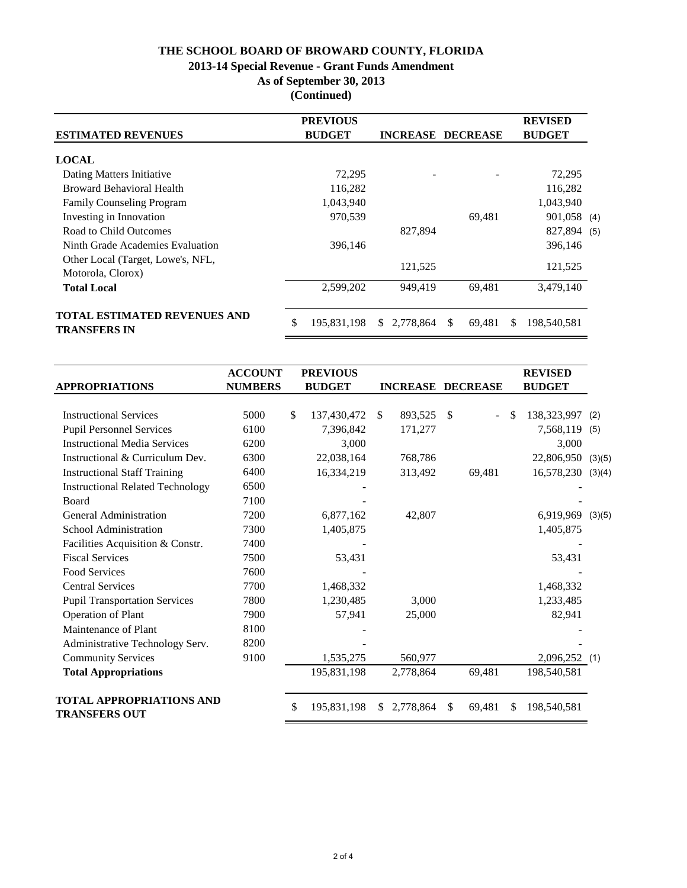### **THE SCHOOL BOARD OF BROWARD COUNTY, FLORIDA**

### **2013-14 Special Revenue - Grant Funds Amendment**

**As of September 30, 2013**

**(Continued)**

|                                                            |               | <b>PREVIOUS</b> |                          |    |        |               | <b>REVISED</b> |  |
|------------------------------------------------------------|---------------|-----------------|--------------------------|----|--------|---------------|----------------|--|
| <b>ESTIMATED REVENUES</b>                                  | <b>BUDGET</b> |                 | <b>INCREASE DECREASE</b> |    |        | <b>BUDGET</b> |                |  |
| <b>LOCAL</b>                                               |               |                 |                          |    |        |               |                |  |
| Dating Matters Initiative                                  |               | 72,295          |                          |    |        |               | 72,295         |  |
| <b>Broward Behavioral Health</b>                           |               | 116,282         |                          |    |        |               | 116,282        |  |
| <b>Family Counseling Program</b>                           |               | 1,043,940       |                          |    |        |               | 1,043,940      |  |
| Investing in Innovation                                    |               | 970,539         |                          |    | 69,481 |               | 901,058 (4)    |  |
| Road to Child Outcomes                                     |               |                 | 827,894                  |    |        |               | 827,894 (5)    |  |
| Ninth Grade Academies Evaluation                           |               | 396,146         |                          |    |        |               | 396,146        |  |
| Other Local (Target, Lowe's, NFL,<br>Motorola, Clorox)     |               |                 | 121,525                  |    |        |               | 121,525        |  |
| <b>Total Local</b>                                         |               | 2,599,202       | 949,419                  |    | 69,481 |               | 3,479,140      |  |
| <b>TOTAL ESTIMATED REVENUES AND</b><br><b>TRANSFERS IN</b> | \$            | 195,831,198     | 2,778,864<br>SS.         | \$ | 69,481 | \$.           | 198,540,581    |  |

| <b>APPROPRIATIONS</b>                                   | <b>ACCOUNT</b><br><b>NUMBERS</b> | <b>PREVIOUS</b><br><b>BUDGET</b> |              | <b>INCREASE DECREASE</b> |               |                |               | <b>REVISED</b><br><b>BUDGET</b> |        |
|---------------------------------------------------------|----------------------------------|----------------------------------|--------------|--------------------------|---------------|----------------|---------------|---------------------------------|--------|
|                                                         |                                  |                                  |              |                          |               |                |               |                                 |        |
| <b>Instructional Services</b>                           | 5000                             | \$<br>137,430,472                | $\mathbb{S}$ | 893,525                  | $\mathcal{S}$ | $\overline{a}$ | <sup>\$</sup> | 138,323,997                     | (2)    |
| <b>Pupil Personnel Services</b>                         | 6100                             | 7,396,842                        |              | 171,277                  |               |                |               | 7,568,119                       | (5)    |
| <b>Instructional Media Services</b>                     | 6200                             | 3,000                            |              |                          |               |                |               | 3,000                           |        |
| Instructional & Curriculum Dev.                         | 6300                             | 22,038,164                       |              | 768,786                  |               |                |               | 22,806,950                      | (3)(5) |
| <b>Instructional Staff Training</b>                     | 6400                             | 16,334,219                       |              | 313,492                  |               | 69,481         |               | 16,578,230                      | (3)(4) |
| <b>Instructional Related Technology</b>                 | 6500                             |                                  |              |                          |               |                |               |                                 |        |
| Board                                                   | 7100                             |                                  |              |                          |               |                |               |                                 |        |
| <b>General Administration</b>                           | 7200                             | 6,877,162                        |              | 42,807                   |               |                |               | 6,919,969                       | (3)(5) |
| School Administration                                   | 7300                             | 1,405,875                        |              |                          |               |                |               | 1,405,875                       |        |
| Facilities Acquisition & Constr.                        | 7400                             |                                  |              |                          |               |                |               |                                 |        |
| <b>Fiscal Services</b>                                  | 7500                             | 53,431                           |              |                          |               |                |               | 53,431                          |        |
| <b>Food Services</b>                                    | 7600                             |                                  |              |                          |               |                |               |                                 |        |
| <b>Central Services</b>                                 | 7700                             | 1,468,332                        |              |                          |               |                |               | 1,468,332                       |        |
| <b>Pupil Transportation Services</b>                    | 7800                             | 1,230,485                        |              | 3,000                    |               |                |               | 1,233,485                       |        |
| <b>Operation of Plant</b>                               | 7900                             | 57,941                           |              | 25,000                   |               |                |               | 82,941                          |        |
| Maintenance of Plant                                    | 8100                             |                                  |              |                          |               |                |               |                                 |        |
| Administrative Technology Serv.                         | 8200                             |                                  |              |                          |               |                |               |                                 |        |
| <b>Community Services</b>                               | 9100                             | 1,535,275                        |              | 560,977                  |               |                |               | $2,096,252$ (1)                 |        |
| <b>Total Appropriations</b>                             |                                  | 195,831,198                      |              | 2,778,864                |               | 69,481         |               | 198,540,581                     |        |
| <b>TOTAL APPROPRIATIONS AND</b><br><b>TRANSFERS OUT</b> |                                  | \$<br>195,831,198                | \$           | 2,778,864                | S             | 69,481         | \$            | 198,540,581                     |        |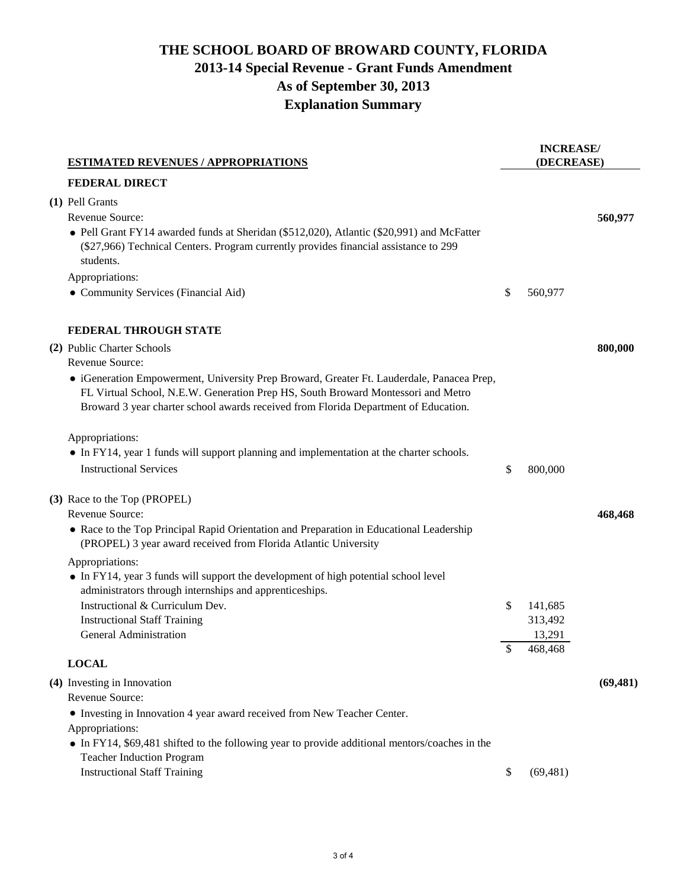# **THE SCHOOL BOARD OF BROWARD COUNTY, FLORIDA 2013-14 Special Revenue - Grant Funds Amendment As of September 30, 2013 Explanation Summary**

| <b>ESTIMATED REVENUES / APPROPRIATIONS</b>                                                                                                                                                                                                                                          |    | <b>INCREASE/</b><br>(DECREASE) |           |  |  |
|-------------------------------------------------------------------------------------------------------------------------------------------------------------------------------------------------------------------------------------------------------------------------------------|----|--------------------------------|-----------|--|--|
| <b>FEDERAL DIRECT</b>                                                                                                                                                                                                                                                               |    |                                |           |  |  |
| (1) Pell Grants<br>Revenue Source:<br>• Pell Grant FY14 awarded funds at Sheridan (\$512,020), Atlantic (\$20,991) and McFatter<br>(\$27,966) Technical Centers. Program currently provides financial assistance to 299<br>students.<br>Appropriations:                             |    |                                | 560,977   |  |  |
| • Community Services (Financial Aid)                                                                                                                                                                                                                                                | \$ | 560,977                        |           |  |  |
| <b>FEDERAL THROUGH STATE</b><br>(2) Public Charter Schools<br>Revenue Source:                                                                                                                                                                                                       |    |                                | 800,000   |  |  |
| • iGeneration Empowerment, University Prep Broward, Greater Ft. Lauderdale, Panacea Prep,<br>FL Virtual School, N.E.W. Generation Prep HS, South Broward Montessori and Metro<br>Broward 3 year charter school awards received from Florida Department of Education.                |    |                                |           |  |  |
| Appropriations:<br>• In FY14, year 1 funds will support planning and implementation at the charter schools.<br><b>Instructional Services</b>                                                                                                                                        | \$ | 800,000                        |           |  |  |
| (3) Race to the Top (PROPEL)<br>Revenue Source:<br>• Race to the Top Principal Rapid Orientation and Preparation in Educational Leadership<br>(PROPEL) 3 year award received from Florida Atlantic University                                                                       |    |                                | 468,468   |  |  |
| Appropriations:<br>• In FY14, year 3 funds will support the development of high potential school level<br>administrators through internships and apprenticeships.<br>Instructional & Curriculum Dev.<br><b>Instructional Staff Training</b>                                         | \$ | 141,685<br>313,492             |           |  |  |
| General Administration                                                                                                                                                                                                                                                              | \$ | 13,291<br>468,468              |           |  |  |
| <b>LOCAL</b>                                                                                                                                                                                                                                                                        |    |                                |           |  |  |
| (4) Investing in Innovation<br>Revenue Source:<br>• Investing in Innovation 4 year award received from New Teacher Center.<br>Appropriations:<br>• In FY14, \$69,481 shifted to the following year to provide additional mentors/coaches in the<br><b>Teacher Induction Program</b> |    |                                | (69, 481) |  |  |
| <b>Instructional Staff Training</b>                                                                                                                                                                                                                                                 | \$ | (69, 481)                      |           |  |  |